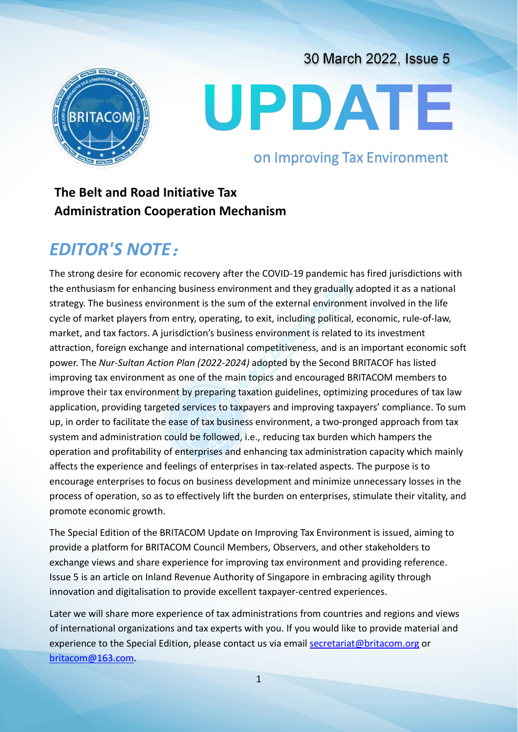# UPDATE

## on Improving Tax Environment

30 March 2022, Issue 5

# **The Belt and Road Initiative Tax Administration Cooperation Mechanism**

# *EDITOR'S NOTE*:

The strong desire for economic recovery after the COVID-19 pandemic has fired jurisdictions with the enthusiasm for enhancing business environment and they gradually adopted it as a national strategy. The business environment is the sum of the external environment involved in the life cycle of market players from entry, operating, to exit, including political, economic, rule-of-law, market, and tax factors. A jurisdiction's business environment is related to its investment attraction, foreign exchange and international competitiveness, and is an important economic soft power. The *Nur-Sultan Action Plan (2022-2024)* adopted by the Second BRITACOF has listed improving tax environment as one of the main topics and encouraged BRITACOM members to improve their tax environment by preparing taxation guidelines, optimizing procedures of tax law application, providing targeted services to taxpayers and improving taxpayers' compliance. To sum up, in order to facilitate the ease of tax business environment, a two-pronged approach from tax system and administration could be followed, i.e., reducing tax burden which hampers the operation and profitability of enterprises and enhancing tax administration capacity which mainly affects the experience and feelings of enterprises in tax-related aspects. The purpose is to encourage enterprises to focus on business development and minimize unnecessary losses in the process of operation, so as to effectively lift the burden on enterprises, stimulate their vitality, and promote economic growth.

The Special Edition of the BRITACOM Update on Improving Tax Environment is issued, aiming to provide a platform for BRITACOM Council Members, Observers, and other stakeholders to exchange views and share experience for improving tax environment and providing reference. Issue 5 is an article on Inland Revenue Authority of Singapore in embracing agility through innovation and digitalisation to provide excellent taxpayer-centred experiences.

Later we will share more experience of tax administrations from countries and regions and views of international organizations and tax experts with you. If you would like to provide material and experience to the Special Edition, please contact us via email secretariat@britacom.org or [britacom@163.com](mailto:britacom@163.com).

1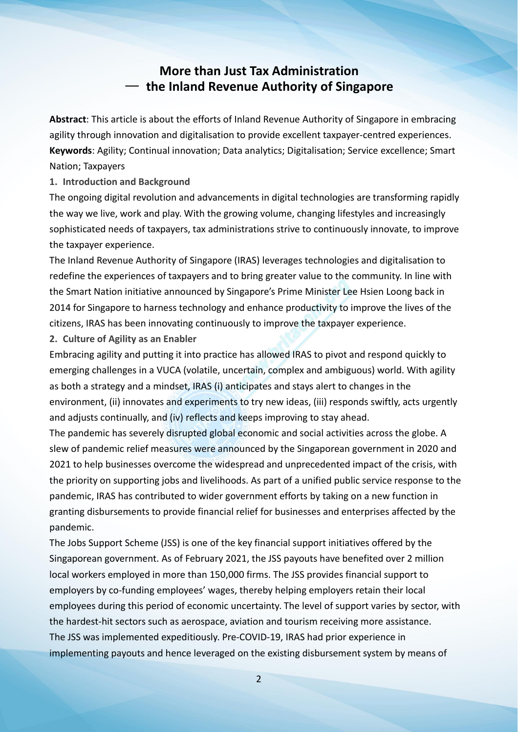### **More than Just Tax Administration** — **the Inland Revenue Authority of Singapore**

**Abstract**: This article is about the efforts of Inland Revenue Authority of Singapore in embracing agility through innovation and digitalisation to provide excellent taxpayer-centred experiences. **Keywords**: Agility: Continual innovation: Data analytics: Digitalisation: Service excellence: Smart Nation; Taxpayers

**1. Introduction and Background**

The ongoing digital revolution and advancements in digital technologies are transforming rapidly the way we live, work and play. With the growing volume, changing lifestyles and increasingly sophisticated needs of taxpayers, tax administrations strive to continuously innovate, to improve the taxpayer experience.

The Inland Revenue Authority of Singapore (IRAS) leverages technologies and digitalisation to redefine the experiences of taxpayers and to bring greater value to the community. In line with the Smart Nation initiative announced by Singapore's Prime Minister Lee Hsien Loong back in 2014 for Singapore to harness technology and enhance productivity to improve the lives of the citizens, IRAS has been innovating continuously to improve the taxpayer experience.

**2. Culture of Agility as an Enabler**

Embracing agility and putting it into practice has allowed IRAS to pivot and respond quickly to emerging challenges in a VUCA (volatile, uncertain, complex and ambiguous) world. With agility as both a strategy and a mindset, IRAS (i) anticipates and stays alert to changes in the environment, (ii) innovates and experiments to try new ideas, (iii) responds swiftly, acts urgently and adjusts continually, and (iv) reflects and keeps improving to stay ahead.

The pandemic has severely disrupted global economic and social activities across the globe. A slew of pandemic relief measures were announced by the Singaporean government in 2020 and 2021 to help businesses overcome the widespread and unprecedented impact of the crisis, with the priority on supporting jobs and livelihoods. As part of a unified public service response to the pandemic, IRAS has contributed to wider government efforts by taking on a new function in granting disbursements to provide financial relief for businesses and enterprises affected by the pandemic.

The Jobs Support Scheme (JSS) is one of the key financial support initiatives offered by the Singaporean government. As of February 2021, the JSS payouts have benefited over 2 million local workers employed in more than 150,000 firms. The JSS provides financial support to employers by co-funding employees' wages, thereby helping employers retain their local employees during this period of economic uncertainty. The level of support varies by sector, with the hardest-hit sectors such as aerospace, aviation and tourism receiving more assistance. The JSS was implemented expeditiously. Pre-COVID-19, IRAS had prior experience in implementing payouts and hence leveraged on the existing disbursement system by means of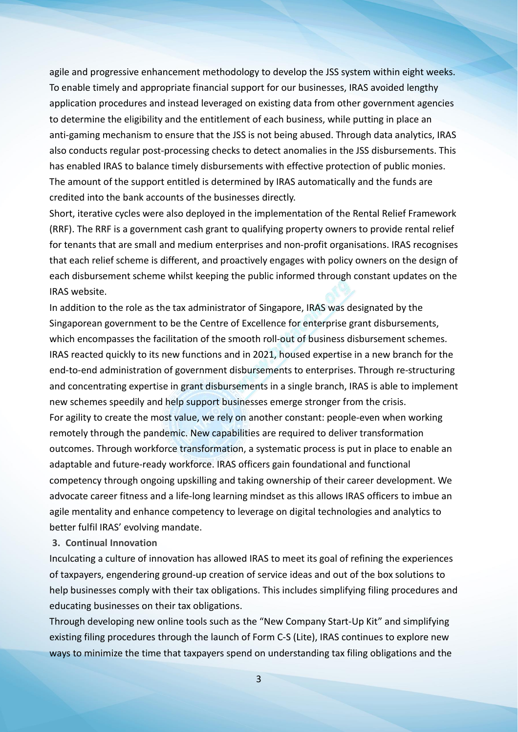agile and progressive enhancement methodology to develop the JSS system within eight weeks. To enable timely and appropriate financial support for our businesses, IRAS avoided lengthy application procedures and instead leveraged on existing data from other government agencies to determine the eligibility and the entitlement of each business, while putting in place an anti-gaming mechanism to ensure that the JSS is not being abused. Through data analytics, IRAS also conducts regular post-processing checks to detect anomalies in the JSS disbursements. This has enabled IRAS to balance timely disbursements with effective protection of public monies. The amount of the support entitled is determined by IRAS automatically and the funds are credited into the bank accounts of the businesses directly.

Short, iterative cycles were also deployed in the implementation of the Rental Relief Framework (RRF). The RRF is a government cash grant to qualifying property owners to provide rental relief for tenants that are small and medium enterprises and non-profit organisations. IRAS recognises that each relief scheme is different, and proactively engages with policy owners on the design of each disbursement scheme whilst keeping the public informed through constant updates on the IRAS website.

In addition to the role as the tax administrator of Singapore, IRAS was designated by the Singaporean government to be the Centre of Excellence for enterprise grant disbursements, which encompasses the facilitation of the smooth roll-out of business disbursement schemes. IRAS reacted quickly to its new functions and in 2021, housed expertise in a new branch for the end-to-end administration of government disbursements to enterprises. Through re-structuring and concentrating expertise in grant disbursements in a single branch, IRAS is able to implement new schemes speedily and help support businesses emerge stronger from the crisis. For agility to create the most value, we rely on another constant: people-even when working remotely through the pandemic. New capabilities are required to deliver transformation outcomes. Through workforce transformation, a systematic process is put in place to enable an adaptable and future-ready workforce. IRAS officers gain foundational and functional competency through ongoing upskilling and taking ownership of their career development. We advocate career fitness and a life-long learning mindset as this allows IRAS officers to imbue an agile mentality and enhance competency to leverage on digital technologies and analytics to better fulfil IRAS' evolving mandate.

#### **3. Continual Innovation**

Inculcating a culture of innovation has allowed IRAS to meet its goal of refining the experiences of taxpayers, engendering ground-up creation of service ideas and out of the box solutions to help businesses comply with their tax obligations. This includes simplifying filing procedures and educating businesses on their tax obligations.

Through developing new online tools such as the "New Company Start-Up Kit" and simplifying existing filing procedures through the launch of Form C-S (Lite), IRAS continues to explore new ways to minimize the time that taxpayers spend on understanding tax filing obligations and the

3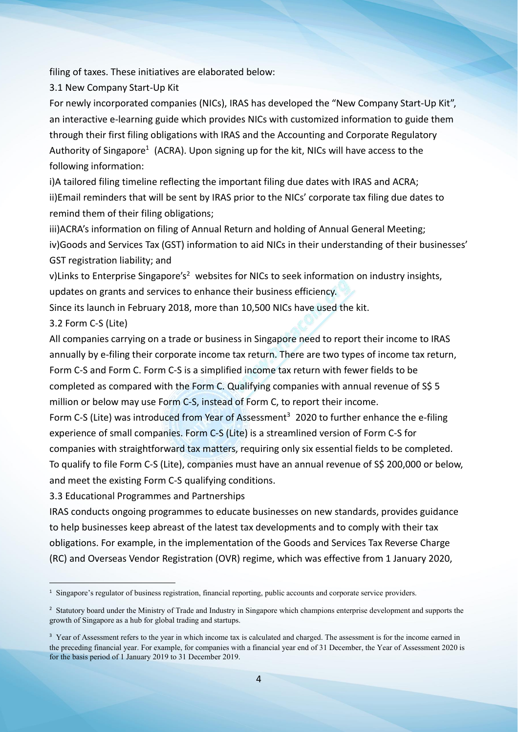filing of taxes. These initiatives are elaborated below:

3.1 New Company Start-Up Kit

For newly incorporated companies (NICs), IRAS has developed the "New Company Start-Up Kit", an interactive e-learning guide which provides NICs with customized information to guide them through their first filing obligations with IRAS and the Accounting and Corporate Regulatory Authority of Singapore<sup>[1](#page-3-0)</sup> (ACRA). Upon signing up for the kit, NICs will have access to the following information:

i)A tailored filing timeline reflecting the important filing due dates with IRAS and ACRA; ii)Email reminders that will be sent by IRAS prior to the NICs' corporate tax filing due dates to remind them of their filing obligations;

iii)ACRA's information on filing of Annual Return and holding of Annual General Meeting; iv)Goods and Services Tax (GST) information to aid NICs in their understanding of their businesses' GST registration liability; and

v)Links to Enterprise Singapore's<sup>[2](#page-3-1)</sup> websites for NICs to seek information on industry insights, updates on grants and services to enhance their business efficiency.

Since its launch in February 2018, more than 10,500 NICs have used the kit.

3.2 Form C-S (Lite)

All companies carrying on a trade or business in Singapore need to report their income to IRAS annually by e-filing their corporate income tax return. There are two types of income tax return, Form C-S and Form C. Form C-S is a simplified income tax return with fewer fields to be completed as compared with the Form C. Qualifying companies with annual revenue of S\$ 5 million or below may use Form C-S, instead of Form C, to report their income.

Form C-S (Lite) was introduced from Year of Assessment<sup>[3](#page-3-2)</sup> 2020 to further enhance the e-filing experience of small companies. Form C-S (Lite) is a streamlined version of Form C-S for companies with straightforward tax matters, requiring only six essential fields to be completed. To qualify to file Form C-S (Lite), companies must have an annual revenue of S\$ 200,000 or below, and meet the existing Form C-S qualifying conditions.

3.3 Educational Programmes and Partnerships

IRAS conducts ongoing programmes to educate businesses on new standards, provides guidance to help businesses keep abreast of the latest tax developments and to comply with their tax obligations. For example, in the implementation of the Goods and Services Tax Reverse Charge (RC) and Overseas Vendor Registration (OVR) regime, which was effective from 1 January 2020,

<span id="page-3-0"></span><sup>&</sup>lt;sup>1</sup> Singapore's regulator of business registration, financial reporting, public accounts and corporate service providers.

<span id="page-3-1"></span><sup>&</sup>lt;sup>2</sup> Statutory board under the Ministry of Trade and Industry in Singapore which champions enterprise development and supports the growth of Singapore as a hub for global trading and startups.

<span id="page-3-2"></span><sup>&</sup>lt;sup>3</sup> Year of Assessment refers to the year in which income tax is calculated and charged. The assessment is for the income earned in the preceding financial year. For example, for companies with a financial year end of 31 December, the Year of Assessment 2020 is for the basis period of 1 January 2019 to 31 December 2019.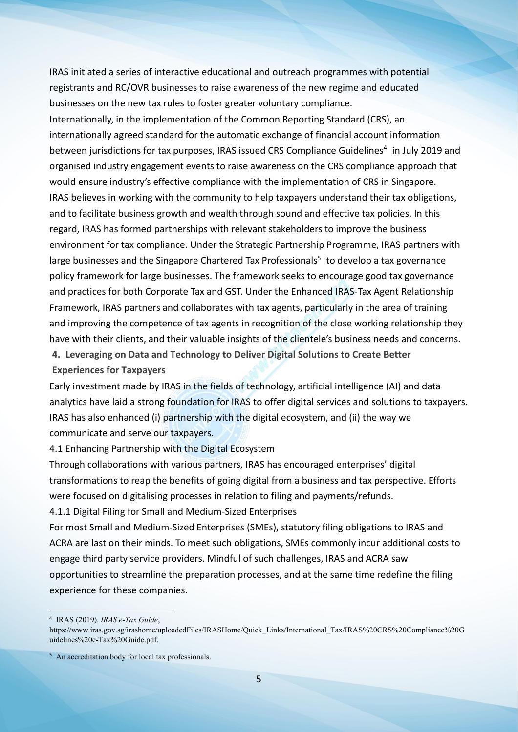IRAS initiated a series of interactive educational and outreach programmes with potential registrants and RC/OVR businesses to raise awareness of the new regime and educated businesses on the new tax rules to foster greater voluntary compliance.

Internationally, in the implementation of the Common Reporting Standard (CRS), an internationally agreed standard for the automatic exchange of financial account information between jurisdictions for tax purposes, IRAS issued CRS Compliance Guidelines [4](#page-4-0) in July 2019 and organised industry engagement events to raise awareness on the CRS compliance approach that would ensure industry's effective compliance with the implementation of CRS in Singapore. IRAS believes in working with the community to help taxpayers understand their tax obligations, and to facilitate business growth and wealth through sound and effective tax policies. In this regard, IRAS has formed partnerships with relevant stakeholders to improve the business environment for tax compliance. Under the Strategic Partnership Programme, IRAS partners with large businesses and the Singapore Chartered Tax Professionals [5](#page-4-1) to develop a tax governance policy framework for large businesses. The framework seeks to encourage good tax governance and practices for both Corporate Tax and GST. Under the Enhanced IRAS-Tax Agent Relationship Framework, IRAS partners and collaborates with tax agents, particularly in the area of training and improving the competence of tax agents in recognition of the close working relationship they have with their clients, and their valuable insights of the clientele's business needs and concerns.

**4. Leveraging on Data and Technology to Deliver Digital Solutions to Create Better**

**Experiences for Taxpayers**

Early investment made by IRAS in the fields of technology, artificial intelligence (AI) and data analytics have laid a strong foundation for IRAS to offer digital services and solutions to taxpayers. IRAS has also enhanced (i) partnership with the digital ecosystem, and (ii) the way we communicate and serve our taxpayers.

4.1 Enhancing Partnership with the Digital Ecosystem

Through collaborations with various partners, IRAS has encouraged enterprises' digital transformations to reap the benefits of going digital from a business and tax perspective. Efforts were focused on digitalising processes in relation to filing and payments/refunds.

4.1.1 Digital Filing for Small and Medium-Sized Enterprises

For most Small and Medium-Sized Enterprises (SMEs), statutory filing obligations to IRAS and ACRA arelast on their minds. To meet such obligations, SMEs commonly incur additional costs to engage third party service providers. Mindful of such challenges, IRAS and ACRA saw opportunities to streamline the preparation processes, and at the same time redefine the filing experience for these companies.

<span id="page-4-0"></span><sup>4</sup> IRAS (2019). *IRAS e-Tax Guide*,

https://www.iras.gov.sg/irashome/uploadedFiles/IRASHome/Quick\_Links/International\_Tax/IRAS%20CRS%20Compliance%20G uidelines%20e-Tax%20Guide.pdf.

<span id="page-4-1"></span><sup>&</sup>lt;sup>5</sup> An accreditation body for local tax professionals.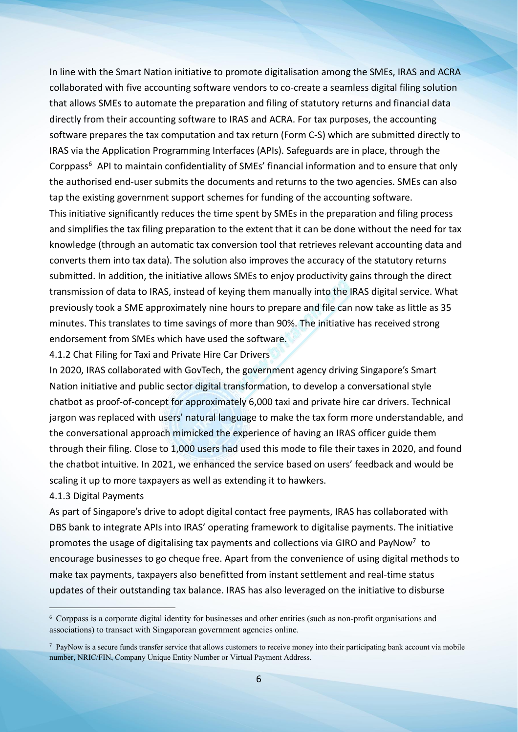In line with the Smart Nation initiative to promote digitalisation among the SMEs, IRAS and ACRA collaborated with five accounting software vendors to co-create a seamless digital filing solution that allows SMEs to automate the preparation and filing of statutory returns and financial data directly from their accounting software to IRAS and ACRA. For tax purposes, the accounting software prepares the tax computation and tax return (Form C-S) which are submitted directly to IRAS via the Application Programming Interfaces (APIs). Safeguards are in place, through the Corppass [6](#page-5-0) API to maintain confidentiality of SMEs' financial information and to ensure that only the authorised end-user submits the documents and returns to the two agencies. SMEs can also tap the existing government support schemes for funding of the accounting software.

This initiative significantly reduces the time spent by SMEs in the preparation and filing process and simplifies the tax filing preparation to the extent that it can be done without the need for tax knowledge (through an automatic tax conversion tool that retrieves relevant accounting data and converts them into tax data). The solution also improves the accuracy of the statutory returns submitted. In addition, the initiative allows SMEs to enjoy productivity gains through the direct transmission of data to IRAS, instead of keying them manually into the IRAS digital service. What previously took a SME approximately nine hours to prepare and file can now take as little as 35 minutes. This translates to time savings of more than 90%. The initiative has received strong endorsement from SMEs which have used the software.

4.1.2 Chat Filing for Taxi and Private Hire Car Drivers

In 2020, IRAS collaborated with GovTech, the government agency driving Singapore's Smart Nation initiative and public sector digital transformation, to develop a conversational style chatbot as proof-of-concept for approximately 6,000 taxiand private hire car drivers. Technical jargon was replaced with users' natural language to make the tax form more understandable, and the conversational approach mimicked the experience of having an IRAS officer guide them through their filing. Close to 1,000 users had used this mode to file their taxes in 2020, and found the chatbot intuitive. In 2021, we enhanced the service based on users' feedback and would be scaling it up to more taxpayers as well as extending it to hawkers.

#### 4.1.3 Digital Payments

As part of Singapore's drive to adopt digital contact free payments, IRAS has collaborated with DBS bank to integrate APIs into IRAS' operating framework to digitalise payments. The initiative promotes the usage of digitalising tax payments and collections via GIRO and PayNow<sup>[7](#page-5-1)</sup> to encourage businesses to go cheque free. Apart from the convenience of using digital methods to make tax payments, taxpayers also benefitted from instant settlement and real-time status updates of their outstanding tax balance. IRAS has also leveraged on the initiative to disburse

<span id="page-5-0"></span><sup>6</sup> Corppass is a corporate digital identity for businesses and other entities (such as non-profit organisations and associations) to transact with Singaporean government agencies online.

<span id="page-5-1"></span><sup>&</sup>lt;sup>7</sup> PayNow is a secure funds transfer service that allows customers to receive money into their participating bank account via mobile number, NRIC/FIN, Company Unique Entity Number or Virtual Payment Address.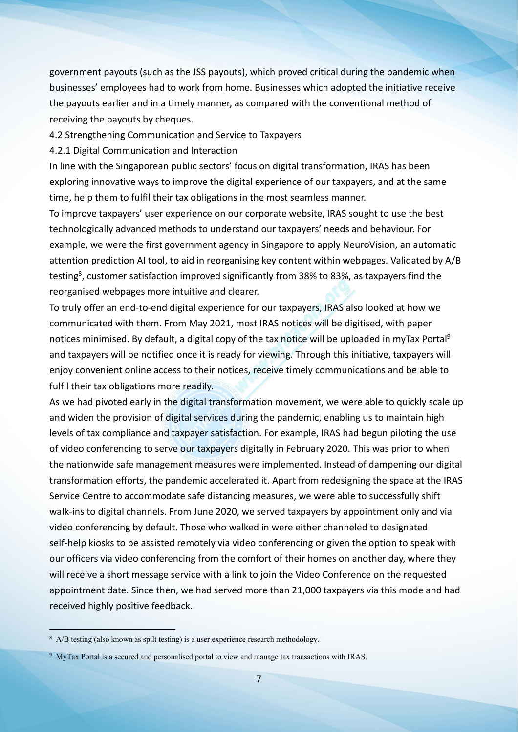government payouts (such as the JSS payouts), which proved critical during the pandemic when businesses' employees had to work from home. Businesses which adopted the initiative receive the payouts earlier and in a timely manner, as compared with the conventional method of receiving the payouts by cheques.

4.2 Strengthening Communication and Service to Taxpayers

4.2.1 Digital Communication and Interaction

In line with the Singaporean public sectors' focus on digital transformation, IRAS has been exploring innovative ways to improve the digital experience of our taxpayers, and at the same time, help them to fulfil their tax obligations in the most seamless manner.

To improve taxpayers' user experience on our corporate website, IRAS sought to use the best technologically advanced methods to understand our taxpayers' needs and behaviour. For example, we were the first government agency in Singapore to apply NeuroVision, an automatic attention prediction AI tool, to aid in reorganising key content within webpages. Validated by A/B testing<sup>[8](#page-6-0)</sup>, customer satisfaction improved significantly from 38% to 83%, as taxpayers find the reorganised webpages more intuitive and clearer.

To truly offer an end-to-end digital experience for our taxpayers, IRAS also looked at how we communicated with them. From May 2021, most IRAS notices will be digitised, with paper notices minimised. By default, a digital copy of the tax notice will be uploaded in myTax Portal<sup>[9](#page-6-1)</sup> and taxpayers will be notified once it is ready for viewing. Through this initiative, taxpayers will enjoy convenient online access to their notices, receive timely communications and be able to fulfil their tax obligations more readily.

As we had pivoted early in the digital transformation movement, we were able to quickly scale up and widen the provision of digital services during the pandemic, enabling us to maintain high levels of tax compliance and taxpayer satisfaction. For example, IRAS had begun piloting the use of video conferencing to serve our taxpayers digitally in February 2020. This was prior to when the nationwide safe management measures were implemented. Instead of dampening our digital transformation efforts, the pandemic accelerated it. Apart from redesigning the space at the IRAS Service Centre to accommodate safe distancing measures, we were able to successfully shift walk-ins to digital channels. From June 2020, we served taxpayers by appointment only and via video conferencing by default. Those who walked in were either channeled to designated self-help kiosks to be assisted remotely via video conferencing or given the option to speak with our officers via video conferencing from the comfort of their homes on another day, where they will receive a short message service with a link to join the Video Conference on the requested appointment date. Since then, we had served more than 21,000 taxpayers via this mode and had received highly positive feedback.

<span id="page-6-0"></span><sup>&</sup>lt;sup>8</sup> A/B testing (also known as spilt testing) is a user experience research methodology.

<span id="page-6-1"></span><sup>9</sup> MyTax Portal is a secured and personalised portal to view and manage tax transactions with IRAS.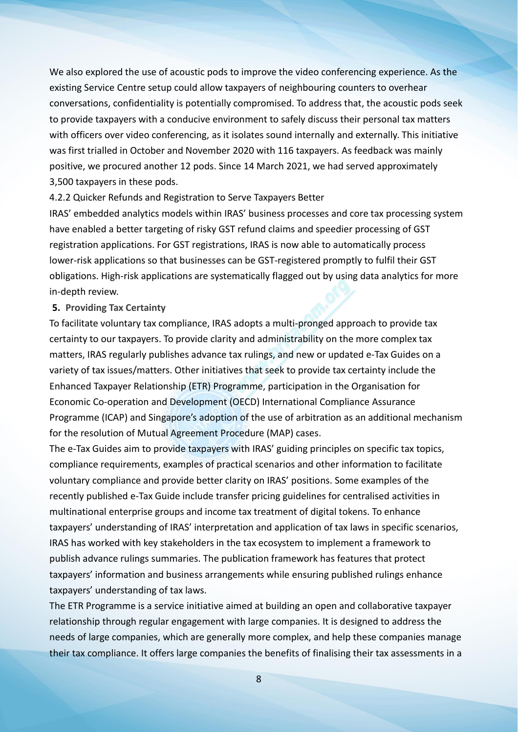We also explored the use of acoustic pods to improve the video conferencing experience. As the existing Service Centre setup could allow taxpayers of neighbouring counters to overhear conversations, confidentiality is potentially compromised. To address that, the acoustic pods seek to provide taxpayers with a conducive environment to safely discuss their personal tax matters with officers over video conferencing, as it isolates sound internally and externally. This initiative was first trialled in October and November 2020 with 116 taxpayers. As feedback was mainly positive, we procured another 12 pods. Since 14 March 2021, we had served approximately 3,500 taxpayers in these pods.

#### 4.2.2 Quicker Refunds and Registration to Serve Taxpayers Better

IRAS' embedded analytics models within IRAS' business processes and core tax processing system have enabled a better targeting of risky GST refund claims and speedier processing of GST registration applications. For GST registrations, IRAS is now able to automatically process lower-risk applications so that businesses can be GST-registered promptly to fulfil their GST obligations. High-risk applications are systematically flagged out by using data analytics for more in-depth review.

#### **5. Providing Tax Certainty**

To facilitate voluntary tax compliance, IRAS adopts a multi-pronged approach to provide tax certainty to our taxpayers. To provide clarity and administrability on the more complex tax matters, IRAS regularly publishes advance tax rulings, and new or updated e-Tax Guides on a variety of tax issues/matters. Other initiatives that seek to provide tax certainty include the Enhanced Taxpayer Relationship (ETR) Programme, participation in the Organisation for Economic Co-operation and Development (OECD) International Compliance Assurance Programme (ICAP) and Singapore's adoption of the use of arbitration as an additional mechanism for the resolution of Mutual Agreement Procedure (MAP) cases.

The e-Tax Guides aim to provide taxpayers with IRAS' guiding principles on specific tax topics, compliance requirements, examples of practical scenarios and other information to facilitate voluntary compliance and provide better clarity on IRAS' positions. Some examples of the recently published e-Tax Guide include transfer pricing guidelines for centralised activities in multinational enterprise groups and income tax treatment of digital tokens. To enhance taxpayers' understanding of IRAS' interpretation and application of tax laws in specific scenarios, IRAS has worked with key stakeholders in the tax ecosystem to implement a framework to publish advance rulings summaries. The publication framework has features that protect taxpayers' information and business arrangements while ensuring published rulings enhance taxpayers' understanding of tax laws.

The ETR Programme is a service initiative aimed at building an open and collaborative taxpayer relationship through regular engagement with large companies. It is designed to address the needs of large companies, which are generally more complex, and help these companies manage their tax compliance. It offers large companies the benefits of finalising their tax assessments in a